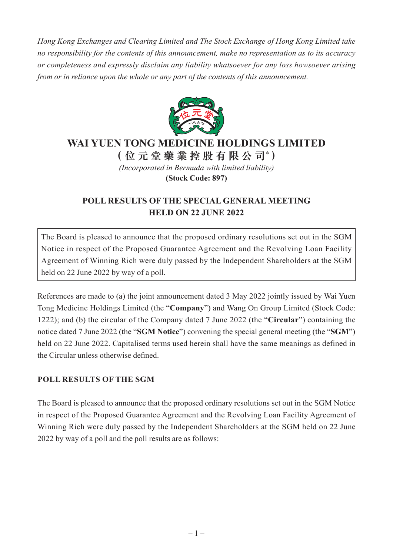*Hong Kong Exchanges and Clearing Limited and The Stock Exchange of Hong Kong Limited take no responsibility for the contents of this announcement, make no representation as to its accuracy or completeness and expressly disclaim any liability whatsoever for any loss howsoever arising from or in reliance upon the whole or any part of the contents of this announcement.*



## **WAI YUEN TONG MEDICINE HOLDINGS LIMITED**

**(位元堂藥業控股有限公司\* )**

*(Incorporated in Bermuda with limited liability)*

**(Stock Code: 897)**

## **POLL RESULTS OF THE SPECIAL GENERAL MEETING HELD ON 22 JUNE 2022**

The Board is pleased to announce that the proposed ordinary resolutions set out in the SGM Notice in respect of the Proposed Guarantee Agreement and the Revolving Loan Facility Agreement of Winning Rich were duly passed by the Independent Shareholders at the SGM held on 22 June 2022 by way of a poll.

References are made to (a) the joint announcement dated 3 May 2022 jointly issued by Wai Yuen Tong Medicine Holdings Limited (the "**Company**") and Wang On Group Limited (Stock Code: 1222); and (b) the circular of the Company dated 7 June 2022 (the "**Circular**") containing the notice dated 7 June 2022 (the "**SGM Notice**") convening the special general meeting (the "**SGM**") held on 22 June 2022. Capitalised terms used herein shall have the same meanings as defined in the Circular unless otherwise defined.

## **POLL RESULTS OF THE SGM**

The Board is pleased to announce that the proposed ordinary resolutions set out in the SGM Notice in respect of the Proposed Guarantee Agreement and the Revolving Loan Facility Agreement of Winning Rich were duly passed by the Independent Shareholders at the SGM held on 22 June 2022 by way of a poll and the poll results are as follows: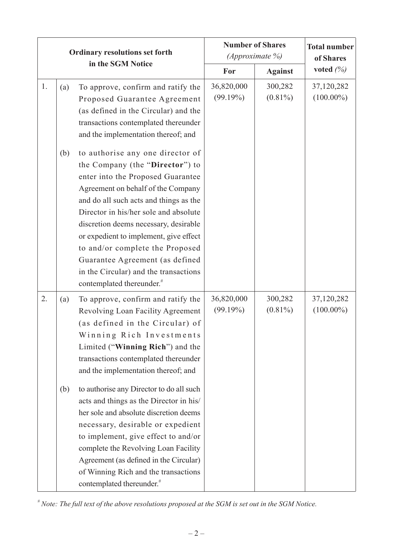| <b>Ordinary resolutions set forth</b> |            |                                                                                                                                                                                                                                                                                                                                                                                                                                                                                                                                                                                                                                           | <b>Number of Shares</b><br>(Approximate %) |                       | <b>Total number</b><br>of Shares |
|---------------------------------------|------------|-------------------------------------------------------------------------------------------------------------------------------------------------------------------------------------------------------------------------------------------------------------------------------------------------------------------------------------------------------------------------------------------------------------------------------------------------------------------------------------------------------------------------------------------------------------------------------------------------------------------------------------------|--------------------------------------------|-----------------------|----------------------------------|
| in the SGM Notice                     |            | For                                                                                                                                                                                                                                                                                                                                                                                                                                                                                                                                                                                                                                       | <b>Against</b>                             | voted $(\%)$          |                                  |
| 1.                                    | (a)        | To approve, confirm and ratify the<br>Proposed Guarantee Agreement<br>(as defined in the Circular) and the<br>transactions contemplated thereunder<br>and the implementation thereof; and                                                                                                                                                                                                                                                                                                                                                                                                                                                 | 36,820,000<br>(99.19%)                     | 300,282<br>$(0.81\%)$ | 37,120,282<br>$(100.00\%)$       |
|                                       | (b)        | to authorise any one director of<br>the Company (the "Director") to<br>enter into the Proposed Guarantee<br>Agreement on behalf of the Company<br>and do all such acts and things as the<br>Director in his/her sole and absolute<br>discretion deems necessary, desirable<br>or expedient to implement, give effect<br>to and/or complete the Proposed<br>Guarantee Agreement (as defined<br>in the Circular) and the transactions<br>contemplated thereunder. <sup>#</sup>                                                                                                                                                              |                                            |                       |                                  |
| 2.                                    | (a)<br>(b) | To approve, confirm and ratify the<br>Revolving Loan Facility Agreement<br>(as defined in the Circular) of<br>Winning Rich Investments<br>Limited ("Winning Rich") and the<br>transactions contemplated thereunder<br>and the implementation thereof; and<br>to authorise any Director to do all such<br>acts and things as the Director in his/<br>her sole and absolute discretion deems<br>necessary, desirable or expedient<br>to implement, give effect to and/or<br>complete the Revolving Loan Facility<br>Agreement (as defined in the Circular)<br>of Winning Rich and the transactions<br>contemplated thereunder. <sup>#</sup> | 36,820,000<br>(99.19%)                     | 300,282<br>$(0.81\%)$ | 37,120,282<br>$(100.00\%)$       |

*# Note: The full text of the above resolutions proposed at the SGM is set out in the SGM Notice.*